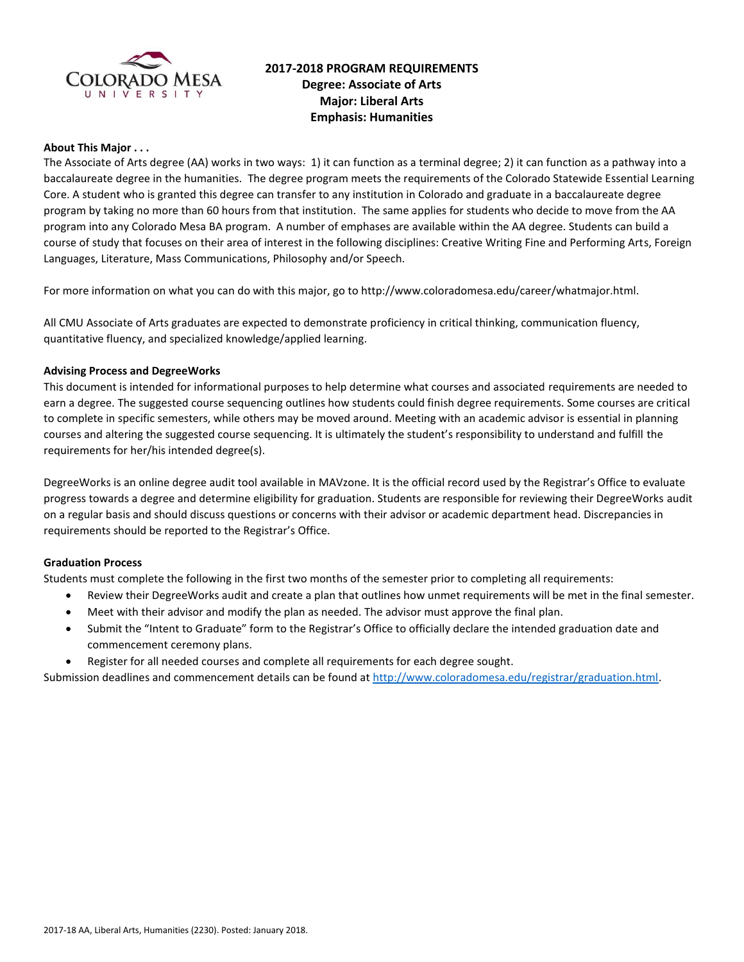

# **2017-2018 PROGRAM REQUIREMENTS Degree: Associate of Arts Major: Liberal Arts Emphasis: Humanities**

### **About This Major . . .**

The Associate of Arts degree (AA) works in two ways: 1) it can function as a terminal degree; 2) it can function as a pathway into a baccalaureate degree in the humanities. The degree program meets the requirements of the Colorado Statewide Essential Learning Core. A student who is granted this degree can transfer to any institution in Colorado and graduate in a baccalaureate degree program by taking no more than 60 hours from that institution. The same applies for students who decide to move from the AA program into any Colorado Mesa BA program. A number of emphases are available within the AA degree. Students can build a course of study that focuses on their area of interest in the following disciplines: Creative Writing Fine and Performing Arts, Foreign Languages, Literature, Mass Communications, Philosophy and/or Speech.

For more information on what you can do with this major, go to http://www.coloradomesa.edu/career/whatmajor.html.

All CMU Associate of Arts graduates are expected to demonstrate proficiency in critical thinking, communication fluency, quantitative fluency, and specialized knowledge/applied learning.

### **Advising Process and DegreeWorks**

This document is intended for informational purposes to help determine what courses and associated requirements are needed to earn a degree. The suggested course sequencing outlines how students could finish degree requirements. Some courses are critical to complete in specific semesters, while others may be moved around. Meeting with an academic advisor is essential in planning courses and altering the suggested course sequencing. It is ultimately the student's responsibility to understand and fulfill the requirements for her/his intended degree(s).

DegreeWorks is an online degree audit tool available in MAVzone. It is the official record used by the Registrar's Office to evaluate progress towards a degree and determine eligibility for graduation. Students are responsible for reviewing their DegreeWorks audit on a regular basis and should discuss questions or concerns with their advisor or academic department head. Discrepancies in requirements should be reported to the Registrar's Office.

#### **Graduation Process**

Students must complete the following in the first two months of the semester prior to completing all requirements:

- Review their DegreeWorks audit and create a plan that outlines how unmet requirements will be met in the final semester.
- Meet with their advisor and modify the plan as needed. The advisor must approve the final plan.
- Submit the "Intent to Graduate" form to the Registrar's Office to officially declare the intended graduation date and commencement ceremony plans.
- Register for all needed courses and complete all requirements for each degree sought.

Submission deadlines and commencement details can be found at [http://www.coloradomesa.edu/registrar/graduation.html.](http://www.coloradomesa.edu/registrar/graduation.html)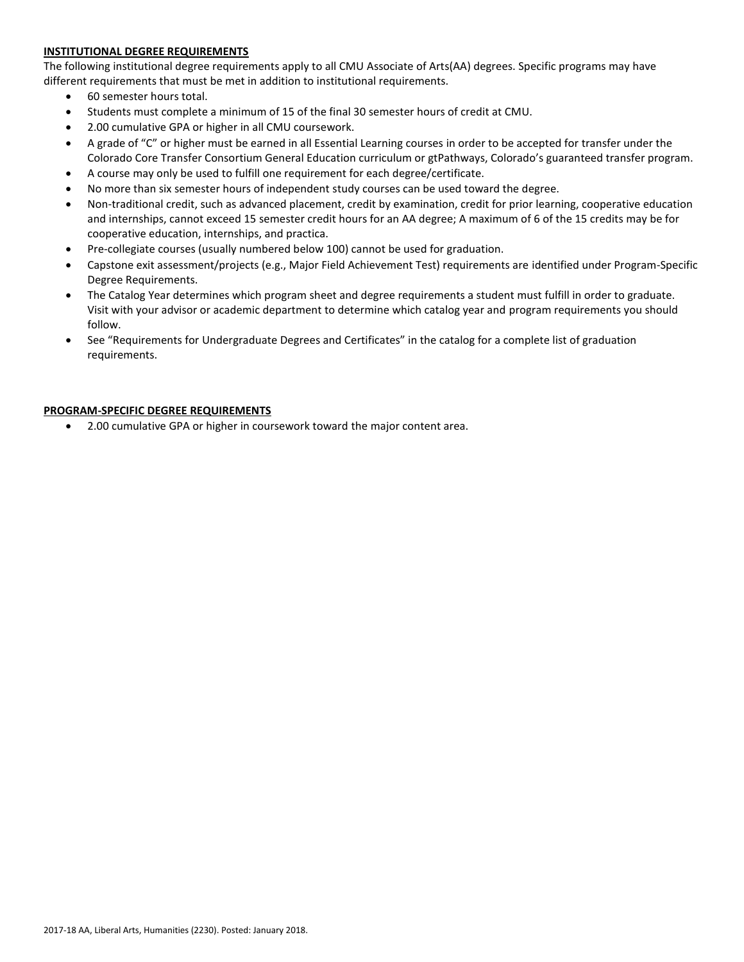### **INSTITUTIONAL DEGREE REQUIREMENTS**

The following institutional degree requirements apply to all CMU Associate of Arts(AA) degrees. Specific programs may have different requirements that must be met in addition to institutional requirements.

- 60 semester hours total.
- Students must complete a minimum of 15 of the final 30 semester hours of credit at CMU.
- 2.00 cumulative GPA or higher in all CMU coursework.
- A grade of "C" or higher must be earned in all Essential Learning courses in order to be accepted for transfer under the Colorado Core Transfer Consortium General Education curriculum or gtPathways, Colorado's guaranteed transfer program.
- A course may only be used to fulfill one requirement for each degree/certificate.
- No more than six semester hours of independent study courses can be used toward the degree.
- Non-traditional credit, such as advanced placement, credit by examination, credit for prior learning, cooperative education and internships, cannot exceed 15 semester credit hours for an AA degree; A maximum of 6 of the 15 credits may be for cooperative education, internships, and practica.
- Pre-collegiate courses (usually numbered below 100) cannot be used for graduation.
- Capstone exit assessment/projects (e.g., Major Field Achievement Test) requirements are identified under Program-Specific Degree Requirements.
- The Catalog Year determines which program sheet and degree requirements a student must fulfill in order to graduate. Visit with your advisor or academic department to determine which catalog year and program requirements you should follow.
- See "Requirements for Undergraduate Degrees and Certificates" in the catalog for a complete list of graduation requirements.

### **PROGRAM-SPECIFIC DEGREE REQUIREMENTS**

2.00 cumulative GPA or higher in coursework toward the major content area.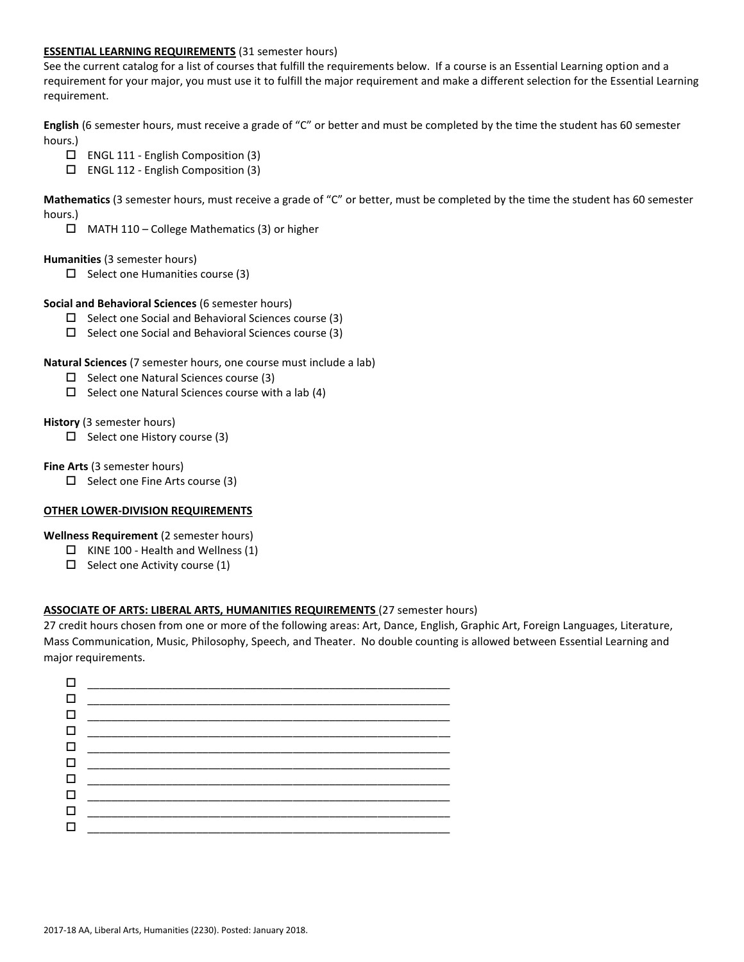### **ESSENTIAL LEARNING REQUIREMENTS** (31 semester hours)

See the current catalog for a list of courses that fulfill the requirements below. If a course is an Essential Learning option and a requirement for your major, you must use it to fulfill the major requirement and make a different selection for the Essential Learning requirement.

**English** (6 semester hours, must receive a grade of "C" or better and must be completed by the time the student has 60 semester hours.)

- ENGL 111 English Composition (3)
- ENGL 112 English Composition (3)

**Mathematics** (3 semester hours, must receive a grade of "C" or better, must be completed by the time the student has 60 semester hours.)

 $\Box$  MATH 110 – College Mathematics (3) or higher

# **Humanities** (3 semester hours)

 $\square$  Select one Humanities course (3)

# **Social and Behavioral Sciences** (6 semester hours)

- $\Box$  Select one Social and Behavioral Sciences course (3)
- $\square$  Select one Social and Behavioral Sciences course (3)

# **Natural Sciences** (7 semester hours, one course must include a lab)

- $\Box$  Select one Natural Sciences course (3)
- $\square$  Select one Natural Sciences course with a lab (4)

### **History** (3 semester hours)

 $\Box$  Select one History course (3)

### **Fine Arts** (3 semester hours)

 $\Box$  Select one Fine Arts course (3)

# **OTHER LOWER-DIVISION REQUIREMENTS**

#### **Wellness Requirement** (2 semester hours)

- $\Box$  KINE 100 Health and Wellness (1)
- $\Box$  Select one Activity course (1)

# **ASSOCIATE OF ARTS: LIBERAL ARTS, HUMANITIES REQUIREMENTS** (27 semester hours)

27 credit hours chosen from one or more of the following areas: Art, Dance, English, Graphic Art, Foreign Languages, Literature, Mass Communication, Music, Philosophy, Speech, and Theater. No double counting is allowed between Essential Learning and major requirements.